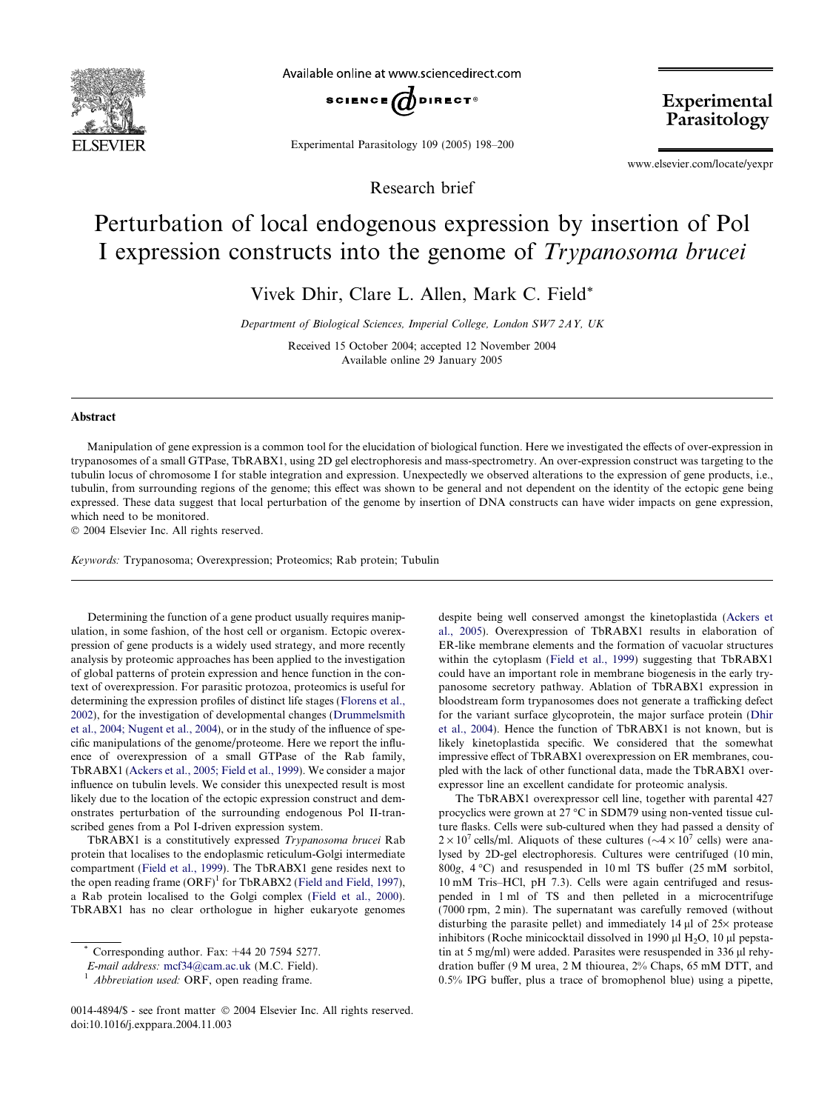

Available online at www.sciencedirect.com



Experimental Parasitology 109 (2005) 198–200

Research brief

Experimental Parasitology

www.elsevier.com/locate/yexpr

## Perturbation of local endogenous expression by insertion of Pol I expression constructs into the genome of Trypanosoma brucei

Vivek Dhir, Clare L. Allen, Mark C. Field\*

Department of Biological Sciences, Imperial College, London SW7 2AY, UK

Received 15 October 2004; accepted 12 November 2004 Available online 29 January 2005

## Abstract

Manipulation of gene expression is a common tool for the elucidation of biological function. Here we investigated the effects of over-expression in trypanosomes of a small GTPase, TbRABX1, using 2D gel electrophoresis and mass-spectrometry. An over-expression construct was targeting to the tubulin locus of chromosome I for stable integration and expression. Unexpectedly we observed alterations to the expression of gene products, i.e., tubulin, from surrounding regions of the genome; this effect was shown to be general and not dependent on the identity of the ectopic gene being expressed. These data suggest that local perturbation of the genome by insertion of DNA constructs can have wider impacts on gene expression, which need to be monitored.

2004 Elsevier Inc. All rights reserved.

Keywords: Trypanosoma; Overexpression; Proteomics; Rab protein; Tubulin

Determining the function of a gene product usually requires manipulation, in some fashion, of the host cell or organism. Ectopic overexpression of gene products is a widely used strategy, and more recently analysis by proteomic approaches has been applied to the investigation of global patterns of protein expression and hence function in the context of overexpression. For parasitic protozoa, proteomics is useful for determining the expression profiles of distinct life stages [\(Florens et al.,](#page-2-0) [2002\)](#page-2-0), for the investigation of developmental changes [\(Drummelsmith](#page-2-0) [et al., 2004; Nugent et al., 2004](#page-2-0)), or in the study of the influence of specific manipulations of the genome/proteome. Here we report the influence of overexpression of a small GTPase of the Rab family, TbRABX1 [\(Ackers et al., 2005; Field et al., 1999\)](#page-2-0). We consider a major influence on tubulin levels. We consider this unexpected result is most likely due to the location of the ectopic expression construct and demonstrates perturbation of the surrounding endogenous Pol II-transcribed genes from a Pol I-driven expression system.

TbRABX1 is a constitutively expressed Trypanosoma brucei Rab protein that localises to the endoplasmic reticulum-Golgi intermediate compartment [\(Field et al., 1999](#page-2-0)). The TbRABX1 gene resides next to the open reading frame  $(ORF)^1$  for TbRABX2 [\(Field and Field, 1997\)](#page-2-0), a Rab protein localised to the Golgi complex ([Field et al., 2000\)](#page-2-0). TbRABX1 has no clear orthologue in higher eukaryote genomes despite being well conserved amongst the kinetoplastida [\(Ackers et](#page-2-0) [al., 2005\)](#page-2-0). Overexpression of TbRABX1 results in elaboration of ER-like membrane elements and the formation of vacuolar structures within the cytoplasm [\(Field et al., 1999\)](#page-2-0) suggesting that TbRABX1 could have an important role in membrane biogenesis in the early trypanosome secretory pathway. Ablation of TbRABX1 expression in bloodstream form trypanosomes does not generate a trafficking defect for the variant surface glycoprotein, the major surface protein ([Dhir](#page-2-0) [et al., 2004\)](#page-2-0). Hence the function of TbRABX1 is not known, but is likely kinetoplastida specific. We considered that the somewhat impressive effect of TbRABX1 overexpression on ER membranes, coupled with the lack of other functional data, made the TbRABX1 overexpressor line an excellent candidate for proteomic analysis.

The TbRABX1 overexpressor cell line, together with parental 427 procyclics were grown at 27  $\mathrm{^{\circ}C}$  in SDM79 using non-vented tissue culture flasks. Cells were sub-cultured when they had passed a density of  $2 \times 10^7$  cells/ml. Aliquots of these cultures ( $\sim 4 \times 10^7$  cells) were analysed by 2D-gel electrophoresis. Cultures were centrifuged (10 min, 800g,  $4^{\circ}$ C) and resuspended in 10 ml TS buffer (25 mM sorbitol, 10 mM Tris–HCl, pH 7.3). Cells were again centrifuged and resuspended in 1 ml of TS and then pelleted in a microcentrifuge (7000 rpm, 2 min). The supernatant was carefully removed (without disturbing the parasite pellet) and immediately 14  $\mu$ l of 25 $\times$  protease inhibitors (Roche minicocktail dissolved in 1990  $\mu$ l H<sub>2</sub>O, 10  $\mu$ l pepstatin at 5 mg/ml) were added. Parasites were resuspended in  $336 \mu$ l rehydration buffer (9 M urea, 2 M thiourea, 2% Chaps, 65 mM DTT, and 0.5% IPG buffer, plus a trace of bromophenol blue) using a pipette,

Corresponding author. Fax:  $+44$  20 7594 5277.

*E-mail address:* [mcf34@cam.ac.uk](mailto:mcf34@cam.ac.uk ) (M.C. Field).  $1$  Abbreviation used: ORF, open reading frame.

<sup>0014-4894/\$ -</sup> see front matter © 2004 Elsevier Inc. All rights reserved. doi:10.1016/j.exppara.2004.11.003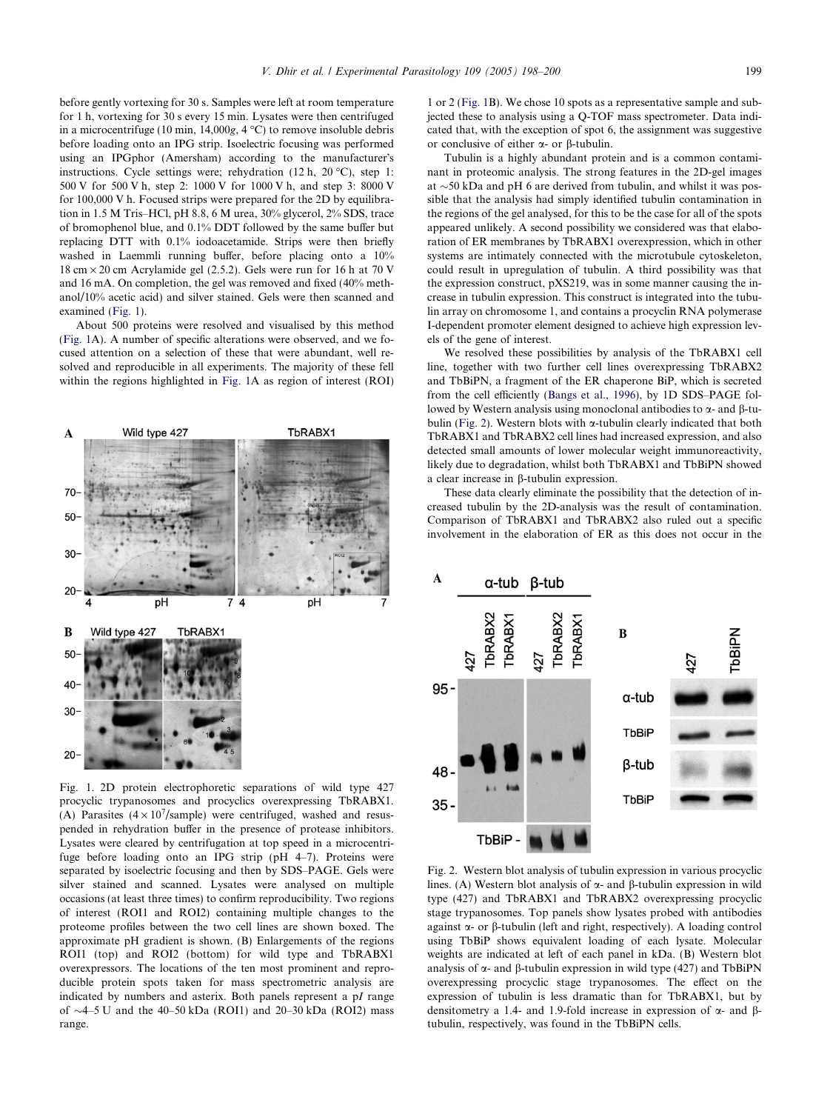<span id="page-1-0"></span>before gently vortexing for 30 s. Samples were left at room temperature for 1 h, vortexing for 30 s every 15 min. Lysates were then centrifuged in a microcentrifuge (10 min,  $14,000g$ ,  $4 °C$ ) to remove insoluble debris before loading onto an IPG strip. Isoelectric focusing was performed using an IPGphor (Amersham) according to the manufacturer's instructions. Cycle settings were; rehydration  $(12 \text{ h}, 20 \text{ }^{\circ}\text{C})$ , step 1: 500 V for 500 V h, step 2: 1000 V for 1000 V h, and step 3: 8000 V for 100,000 V h. Focused strips were prepared for the 2D by equilibration in 1.5 M Tris–HCl, pH 8.8, 6 M urea, 30% glycerol, 2% SDS, trace of bromophenol blue, and 0.1% DDT followed by the same buffer but replacing DTT with 0.1% iodoacetamide. Strips were then briefly washed in Laemmli running buffer, before placing onto a 10% 18 cm  $\times$  20 cm Acrylamide gel (2.5.2). Gels were run for 16 h at 70 V and 16 mA. On completion, the gel was removed and fixed (40% methanol/10% acetic acid) and silver stained. Gels were then scanned and examined (Fig. 1).

About 500 proteins were resolved and visualised by this method (Fig. 1A). A number of specific alterations were observed, and we focused attention on a selection of these that were abundant, well resolved and reproducible in all experiments. The majority of these fell within the regions highlighted in Fig. 1A as region of interest (ROI)



Fig. 1. 2D protein electrophoretic separations of wild type 427 procyclic trypanosomes and procyclics overexpressing TbRABX1. (A) Parasites  $(4 \times 10^7$ /sample) were centrifuged, washed and resuspended in rehydration buffer in the presence of protease inhibitors. Lysates were cleared by centrifugation at top speed in a microcentrifuge before loading onto an IPG strip (pH 4–7). Proteins were separated by isoelectric focusing and then by SDS–PAGE. Gels were silver stained and scanned. Lysates were analysed on multiple occasions (at least three times) to confirm reproducibility. Two regions of interest (ROI1 and ROI2) containing multiple changes to the proteome profiles between the two cell lines are shown boxed. The approximate pH gradient is shown. (B) Enlargements of the regions ROI1 (top) and ROI2 (bottom) for wild type and TbRABX1 overexpressors. The locations of the ten most prominent and reproducible protein spots taken for mass spectrometric analysis are indicated by numbers and asterix. Both panels represent a pI range of  $\sim$ 4–5 U and the 40–50 kDa (ROI1) and 20–30 kDa (ROI2) mass range.

1 or 2 (Fig. 1B). We chose 10 spots as a representative sample and subjected these to analysis using a Q-TOF mass spectrometer. Data indicated that, with the exception of spot 6, the assignment was suggestive or conclusive of either  $\alpha$ - or  $\beta$ -tubulin.

Tubulin is a highly abundant protein and is a common contaminant in proteomic analysis. The strong features in the 2D-gel images at  $\sim$  50 kDa and pH 6 are derived from tubulin, and whilst it was possible that the analysis had simply identified tubulin contamination in the regions of the gel analysed, for this to be the case for all of the spots appeared unlikely. A second possibility we considered was that elaboration of ER membranes by TbRABX1 overexpression, which in other systems are intimately connected with the microtubule cytoskeleton, could result in upregulation of tubulin. A third possibility was that the expression construct, pXS219, was in some manner causing the increase in tubulin expression. This construct is integrated into the tubulin array on chromosome 1, and contains a procyclin RNA polymerase I-dependent promoter element designed to achieve high expression levels of the gene of interest.

We resolved these possibilities by analysis of the TbRABX1 cell line, together with two further cell lines overexpressing TbRABX2 and TbBiPN, a fragment of the ER chaperone BiP, which is secreted from the cell efficiently ([Bangs et al., 1996](#page-2-0)), by 1D SDS–PAGE followed by Western analysis using monoclonal antibodies to  $\alpha$ - and  $\beta$ -tubulin (Fig. 2). Western blots with a-tubulin clearly indicated that both TbRABX1 and TbRABX2 cell lines had increased expression, and also detected small amounts of lower molecular weight immunoreactivity, likely due to degradation, whilst both TbRABX1 and TbBiPN showed a clear increase in b-tubulin expression.

These data clearly eliminate the possibility that the detection of increased tubulin by the 2D-analysis was the result of contamination. Comparison of TbRABX1 and TbRABX2 also ruled out a specific involvement in the elaboration of ER as this does not occur in the



Fig. 2. Western blot analysis of tubulin expression in various procyclic lines. (A) Western blot analysis of  $\alpha$ - and  $\beta$ -tubulin expression in wild type (427) and TbRABX1 and TbRABX2 overexpressing procyclic stage trypanosomes. Top panels show lysates probed with antibodies against  $\alpha$ - or  $\beta$ -tubulin (left and right, respectively). A loading control using TbBiP shows equivalent loading of each lysate. Molecular weights are indicated at left of each panel in kDa. (B) Western blot analysis of  $\alpha$ - and  $\beta$ -tubulin expression in wild type (427) and TbBiPN overexpressing procyclic stage trypanosomes. The effect on the expression of tubulin is less dramatic than for TbRABX1, but by densitometry a 1.4- and 1.9-fold increase in expression of  $\alpha$ - and  $\beta$ tubulin, respectively, was found in the TbBiPN cells.